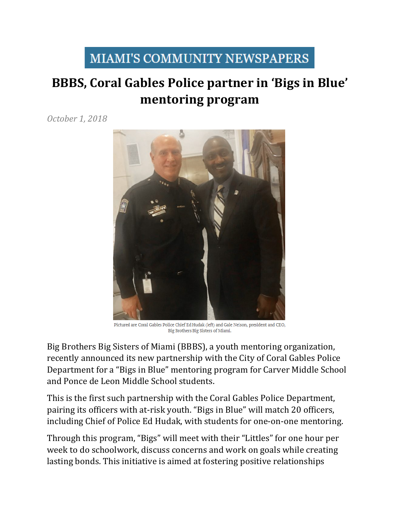## **MIAMI'S COMMUNITY NEWSPAPERS**

## **BBBS, Coral Gables Police partner in 'Bigs in Blue' mentoring program**

*October 1, 2018*



Pictured are Coral Gables Police Chief Ed Hudak (left) and Gale Nelson, president and CEO, Big Brothers Big Sisters of Miami.

Big Brothers Big Sisters of Miami (BBBS), a youth mentoring organization, recently announced its new partnership with the City of Coral Gables Police Department for a "Bigs in Blue" mentoring program for Carver Middle School and Ponce de Leon Middle School students.

This is the first such partnership with the Coral Gables Police Department, pairing its officers with at-risk youth. "Bigs in Blue" will match 20 officers, including Chief of Police Ed Hudak, with students for one-on-one mentoring.

Through this program, "Bigs" will meet with their "Littles" for one hour per week to do schoolwork, discuss concerns and work on goals while creating lasting bonds. This initiative is aimed at fostering positive relationships